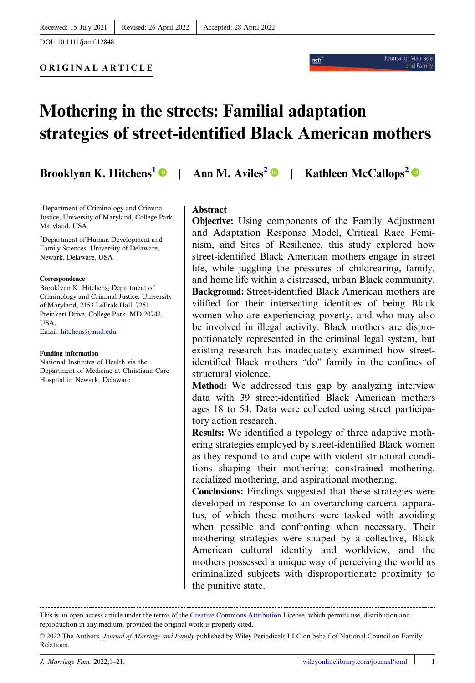DOI: 10.1111/jomf.12848

ORIGINAL ARTICLE

# Mothering in the streets: Familial adaptation strategies of street-identified Black American mothers

Brooklynn K. Hitchens<sup>1</sup> • Ann M. Aviles<sup>2</sup> • Kathleen McCallops<sup>2</sup> •

ncfi

Journal of Marriag

and Family

1 Department of Criminology and Criminal Justice, University of Maryland, College Park, Maryland, USA

<sup>2</sup>Department of Human Development and Family Sciences, University of Delaware, Newark, Delaware, USA

#### Correspondence

Brooklynn K. Hitchens, Department of Criminology and Criminal Justice, University of Maryland, 2153 LeFrak Hall, 7251 Preinkert Drive, College Park, MD 20742, USA. Email: [hitchens@umd.edu](mailto:hitchens@umd.edu)

#### Funding information

National Institutes of Health via the Department of Medicine at Christiana Care Hospital in Newark, Delaware

# Abstract

Objective: Using components of the Family Adjustment and Adaptation Response Model, Critical Race Feminism, and Sites of Resilience, this study explored how street-identified Black American mothers engage in street life, while juggling the pressures of childrearing, family, and home life within a distressed, urban Black community. Background: Street-identified Black American mothers are vilified for their intersecting identities of being Black women who are experiencing poverty, and who may also be involved in illegal activity. Black mothers are disproportionately represented in the criminal legal system, but existing research has inadequately examined how streetidentified Black mothers "do" family in the confines of structural violence.

Method: We addressed this gap by analyzing interview data with 39 street-identified Black American mothers ages 18 to 54. Data were collected using street participatory action research.

Results: We identified a typology of three adaptive mothering strategies employed by street-identified Black women as they respond to and cope with violent structural conditions shaping their mothering: constrained mothering, racialized mothering, and aspirational mothering.

Conclusions: Findings suggested that these strategies were developed in response to an overarching carceral apparatus, of which these mothers were tasked with avoiding when possible and confronting when necessary. Their mothering strategies were shaped by a collective, Black American cultural identity and worldview, and the mothers possessed a unique way of perceiving the world as criminalized subjects with disproportionate proximity to the punitive state.

This is an open access article under the terms of the [Creative Commons Attribution](http://creativecommons.org/licenses/by/4.0/) License, which permits use, distribution and reproduction in any medium, provided the original work is properly cited.

<sup>© 2022</sup> The Authors. Journal of Marriage and Family published by Wiley Periodicals LLC on behalf of National Council on Family Relations.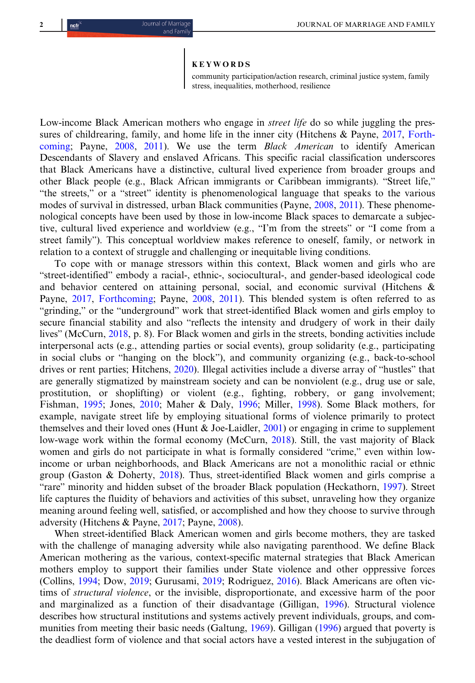#### KEYWORDS

community participation/action research, criminal justice system, family stress, inequalities, motherhood, resilience

Low-income Black American mothers who engage in *street life* do so while juggling the pres-sures of childrearing, family, and home life in the inner city (Hitchens & Payne, [2017](#page-19-0), [Forth](#page-19-0)[coming;](#page-19-0) Payne, [2008](#page-20-0), [2011](#page-20-0)). We use the term Black American to identify American Descendants of Slavery and enslaved Africans. This specific racial classification underscores that Black Americans have a distinctive, cultural lived experience from broader groups and other Black people (e.g., Black African immigrants or Caribbean immigrants). "Street life," "the streets," or a "street" identity is phenomenological language that speaks to the various modes of survival in distressed, urban Black communities (Payne, [2008,](#page-20-0) [2011](#page-20-0)). These phenomenological concepts have been used by those in low-income Black spaces to demarcate a subjective, cultural lived experience and worldview (e.g., "I'm from the streets" or "I come from a street family"). This conceptual worldview makes reference to oneself, family, or network in relation to a context of struggle and challenging or inequitable living conditions.

To cope with or manage stressors within this context, Black women and girls who are "street-identified" embody a racial-, ethnic-, sociocultural-, and gender-based ideological code and behavior centered on attaining personal, social, and economic survival (Hitchens & Payne, [2017](#page-19-0), [Forthcoming](#page-19-0); Payne, [2008,](#page-20-0) [2011\)](#page-20-0). This blended system is often referred to as "grinding," or the "underground" work that street-identified Black women and girls employ to secure financial stability and also "reflects the intensity and drudgery of work in their daily lives" (McCurn, [2018,](#page-19-0) p. 8). For Black women and girls in the streets, bonding activities include interpersonal acts (e.g., attending parties or social events), group solidarity (e.g., participating in social clubs or "hanging on the block"), and community organizing (e.g., back-to-school drives or rent parties; Hitchens, [2020\)](#page-19-0). Illegal activities include a diverse array of "hustles" that are generally stigmatized by mainstream society and can be nonviolent (e.g., drug use or sale, prostitution, or shoplifting) or violent (e.g., fighting, robbery, or gang involvement; Fishman, [1995;](#page-19-0) Jones, [2010;](#page-19-0) Maher & Daly, [1996;](#page-19-0) Miller, [1998](#page-20-0)). Some Black mothers, for example, navigate street life by employing situational forms of violence primarily to protect themselves and their loved ones (Hunt & Joe-Laidler, [2001\)](#page-19-0) or engaging in crime to supplement low-wage work within the formal economy (McCurn, [2018](#page-19-0)). Still, the vast majority of Black women and girls do not participate in what is formally considered "crime," even within lowincome or urban neighborhoods, and Black Americans are not a monolithic racial or ethnic group (Gaston & Doherty, [2018\)](#page-19-0). Thus, street-identified Black women and girls comprise a "rare" minority and hidden subset of the broader Black population (Heckathorn, [1997\)](#page-19-0). Street life captures the fluidity of behaviors and activities of this subset, unraveling how they organize meaning around feeling well, satisfied, or accomplished and how they choose to survive through adversity (Hitchens & Payne, [2017](#page-19-0); Payne, [2008\)](#page-20-0).

When street-identified Black American women and girls become mothers, they are tasked with the challenge of managing adversity while also navigating parenthood. We define Black American mothering as the various, context-specific maternal strategies that Black American mothers employ to support their families under State violence and other oppressive forces (Collins, [1994;](#page-18-0) Dow, [2019](#page-18-0); Gurusami, [2019;](#page-19-0) Rodriguez, [2016\)](#page-20-0). Black Americans are often victims of structural violence, or the invisible, disproportionate, and excessive harm of the poor and marginalized as a function of their disadvantage (Gilligan, [1996](#page-19-0)). Structural violence describes how structural institutions and systems actively prevent individuals, groups, and communities from meeting their basic needs (Galtung, [1969\)](#page-19-0). Gilligan ([1996\)](#page-19-0) argued that poverty is the deadliest form of violence and that social actors have a vested interest in the subjugation of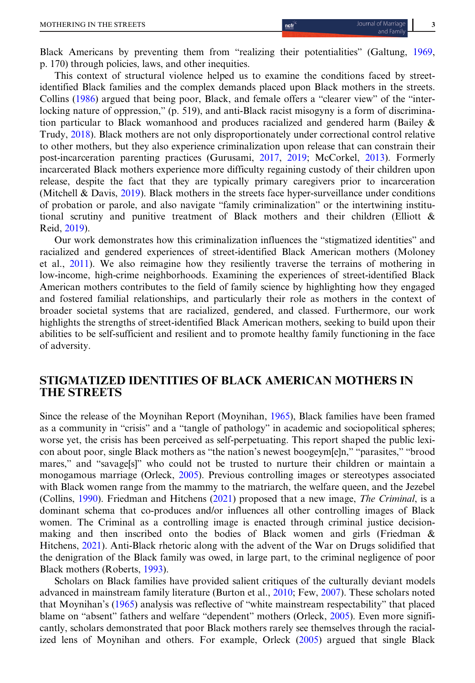Black Americans by preventing them from "realizing their potentialities" (Galtung, [1969](#page-19-0), p. 170) through policies, laws, and other inequities.

This context of structural violence helped us to examine the conditions faced by streetidentified Black families and the complex demands placed upon Black mothers in the streets. Collins [\(1986](#page-18-0)) argued that being poor, Black, and female offers a "clearer view" of the "interlocking nature of oppression," (p. 519), and anti-Black racist misogyny is a form of discrimination particular to Black womanhood and produces racialized and gendered harm (Bailey & Trudy, [2018](#page-18-0)). Black mothers are not only disproportionately under correctional control relative to other mothers, but they also experience criminalization upon release that can constrain their post-incarceration parenting practices (Gurusami, [2017,](#page-19-0) [2019](#page-19-0); McCorkel, [2013\)](#page-19-0). Formerly incarcerated Black mothers experience more difficulty regaining custody of their children upon release, despite the fact that they are typically primary caregivers prior to incarceration (Mitchell & Davis, [2019](#page-20-0)). Black mothers in the streets face hyper-surveillance under conditions of probation or parole, and also navigate "family criminalization" or the intertwining institutional scrutiny and punitive treatment of Black mothers and their children (Elliott & Reid, [2019](#page-18-0)).

Our work demonstrates how this criminalization influences the "stigmatized identities" and racialized and gendered experiences of street-identified Black American mothers (Moloney et al., [2011](#page-20-0)). We also reimagine how they resiliently traverse the terrains of mothering in low-income, high-crime neighborhoods. Examining the experiences of street-identified Black American mothers contributes to the field of family science by highlighting how they engaged and fostered familial relationships, and particularly their role as mothers in the context of broader societal systems that are racialized, gendered, and classed. Furthermore, our work highlights the strengths of street-identified Black American mothers, seeking to build upon their abilities to be self-sufficient and resilient and to promote healthy family functioning in the face of adversity.

# STIGMATIZED IDENTITIES OF BLACK AMERICAN MOTHERS IN THE STREETS

Since the release of the Moynihan Report (Moynihan, [1965\)](#page-20-0), Black families have been framed as a community in "crisis" and a "tangle of pathology" in academic and sociopolitical spheres; worse yet, the crisis has been perceived as self-perpetuating. This report shaped the public lexicon about poor, single Black mothers as "the nation's newest boogeym[e]n," "parasites," "brood mares," and "savage[s]" who could not be trusted to nurture their children or maintain a monogamous marriage (Orleck, [2005\)](#page-20-0). Previous controlling images or stereotypes associated with Black women range from the mammy to the matriarch, the welfare queen, and the Jezebel (Collins, [1990\)](#page-18-0). Friedman and Hitchens [\(2021\)](#page-19-0) proposed that a new image, The Criminal, is a dominant schema that co-produces and/or influences all other controlling images of Black women. The Criminal as a controlling image is enacted through criminal justice decisionmaking and then inscribed onto the bodies of Black women and girls (Friedman & Hitchens, [2021\)](#page-19-0). Anti-Black rhetoric along with the advent of the War on Drugs solidified that the denigration of the Black family was owed, in large part, to the criminal negligence of poor Black mothers (Roberts, [1993](#page-20-0)).

Scholars on Black families have provided salient critiques of the culturally deviant models advanced in mainstream family literature (Burton et al., [2010;](#page-18-0) Few, [2007\)](#page-19-0). These scholars noted that Moynihan's [\(1965](#page-20-0)) analysis was reflective of "white mainstream respectability" that placed blame on "absent" fathers and welfare "dependent" mothers (Orleck, [2005\)](#page-20-0). Even more significantly, scholars demonstrated that poor Black mothers rarely see themselves through the racialized lens of Moynihan and others. For example, Orleck [\(2005](#page-20-0)) argued that single Black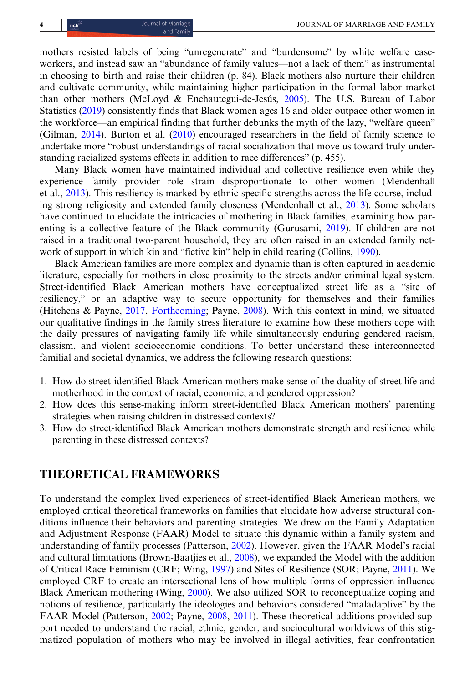mothers resisted labels of being "unregenerate" and "burdensome" by white welfare caseworkers, and instead saw an "abundance of family values—not a lack of them" as instrumental in choosing to birth and raise their children (p. 84). Black mothers also nurture their children and cultivate community, while maintaining higher participation in the formal labor market than other mothers (McLoyd & Enchautegui-de-Jesús, [2005](#page-19-0)). The U.S. Bureau of Labor Statistics ([2019\)](#page-20-0) consistently finds that Black women ages 16 and older outpace other women in the workforce—an empirical finding that further debunks the myth of the lazy, "welfare queen" (Gilman, [2014\)](#page-19-0). Burton et al. [\(2010](#page-18-0)) encouraged researchers in the field of family science to undertake more "robust understandings of racial socialization that move us toward truly understanding racialized systems effects in addition to race differences" (p. 455).

Many Black women have maintained individual and collective resilience even while they experience family provider role strain disproportionate to other women (Mendenhall et al., [2013](#page-20-0)). This resiliency is marked by ethnic-specific strengths across the life course, including strong religiosity and extended family closeness (Mendenhall et al., [2013\)](#page-20-0). Some scholars have continued to elucidate the intricacies of mothering in Black families, examining how parenting is a collective feature of the Black community (Gurusami, [2019\)](#page-19-0). If children are not raised in a traditional two-parent household, they are often raised in an extended family network of support in which kin and "fictive kin" help in child rearing (Collins, [1990](#page-18-0)).

Black American families are more complex and dynamic than is often captured in academic literature, especially for mothers in close proximity to the streets and/or criminal legal system. Street-identified Black American mothers have conceptualized street life as a "site of resiliency," or an adaptive way to secure opportunity for themselves and their families (Hitchens & Payne, [2017](#page-19-0), [Forthcoming](#page-19-0); Payne, [2008](#page-20-0)). With this context in mind, we situated our qualitative findings in the family stress literature to examine how these mothers cope with the daily pressures of navigating family life while simultaneously enduring gendered racism, classism, and violent socioeconomic conditions. To better understand these interconnected familial and societal dynamics, we address the following research questions:

- 1. How do street-identified Black American mothers make sense of the duality of street life and motherhood in the context of racial, economic, and gendered oppression?
- 2. How does this sense-making inform street-identified Black American mothers' parenting strategies when raising children in distressed contexts?
- 3. How do street-identified Black American mothers demonstrate strength and resilience while parenting in these distressed contexts?

# THEORETICAL FRAMEWORKS

To understand the complex lived experiences of street-identified Black American mothers, we employed critical theoretical frameworks on families that elucidate how adverse structural conditions influence their behaviors and parenting strategies. We drew on the Family Adaptation and Adjustment Response (FAAR) Model to situate this dynamic within a family system and understanding of family processes (Patterson, [2002](#page-20-0)). However, given the FAAR Model's racial and cultural limitations (Brown-Baatjies et al., [2008](#page-18-0)), we expanded the Model with the addition of Critical Race Feminism (CRF; Wing, [1997](#page-20-0)) and Sites of Resilience (SOR; Payne, [2011](#page-20-0)). We employed CRF to create an intersectional lens of how multiple forms of oppression influence Black American mothering (Wing, [2000\)](#page-20-0). We also utilized SOR to reconceptualize coping and notions of resilience, particularly the ideologies and behaviors considered "maladaptive" by the FAAR Model (Patterson, [2002](#page-20-0); Payne, [2008,](#page-20-0) [2011](#page-20-0)). These theoretical additions provided support needed to understand the racial, ethnic, gender, and sociocultural worldviews of this stigmatized population of mothers who may be involved in illegal activities, fear confrontation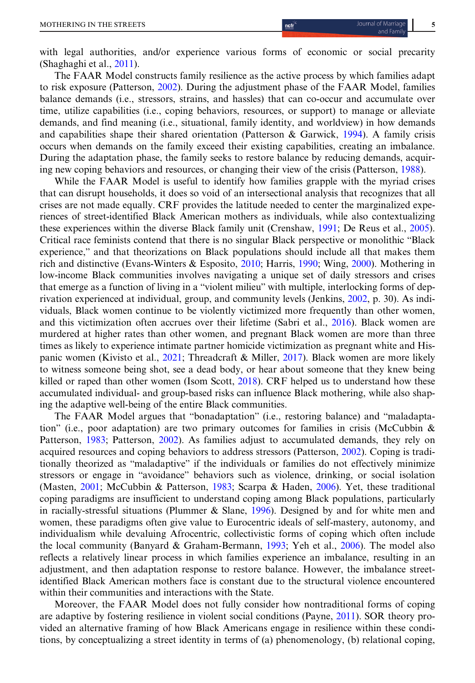with legal authorities, and/or experience various forms of economic or social precarity (Shaghaghi et al., [2011\)](#page-20-0).

The FAAR Model constructs family resilience as the active process by which families adapt to risk exposure (Patterson, [2002\)](#page-20-0). During the adjustment phase of the FAAR Model, families balance demands (i.e., stressors, strains, and hassles) that can co-occur and accumulate over time, utilize capabilities (i.e., coping behaviors, resources, or support) to manage or alleviate demands, and find meaning (i.e., situational, family identity, and worldview) in how demands and capabilities shape their shared orientation (Patterson & Garwick,  $1994$ ). A family crisis occurs when demands on the family exceed their existing capabilities, creating an imbalance. During the adaptation phase, the family seeks to restore balance by reducing demands, acquiring new coping behaviors and resources, or changing their view of the crisis (Patterson, [1988](#page-20-0)).

While the FAAR Model is useful to identify how families grapple with the myriad crises that can disrupt households, it does so void of an intersectional analysis that recognizes that all crises are not made equally. CRF provides the latitude needed to center the marginalized experiences of street-identified Black American mothers as individuals, while also contextualizing these experiences within the diverse Black family unit (Crenshaw, [1991](#page-18-0); De Reus et al., [2005](#page-18-0)). Critical race feminists contend that there is no singular Black perspective or monolithic "Black experience," and that theorizations on Black populations should include all that makes them rich and distinctive (Evans-Winters & Esposito, [2010;](#page-18-0) Harris, [1990](#page-19-0); Wing, [2000\)](#page-20-0). Mothering in low-income Black communities involves navigating a unique set of daily stressors and crises that emerge as a function of living in a "violent milieu" with multiple, interlocking forms of deprivation experienced at individual, group, and community levels (Jenkins, [2002,](#page-19-0) p. 30). As individuals, Black women continue to be violently victimized more frequently than other women, and this victimization often accrues over their lifetime (Sabri et al., [2016\)](#page-20-0). Black women are murdered at higher rates than other women, and pregnant Black women are more than three times as likely to experience intimate partner homicide victimization as pregnant white and Hispanic women (Kivisto et al., [2021;](#page-19-0) Threadcraft & Miller, [2017\)](#page-20-0). Black women are more likely to witness someone being shot, see a dead body, or hear about someone that they knew being killed or raped than other women (Isom Scott, [2018\)](#page-19-0). CRF helped us to understand how these accumulated individual- and group-based risks can influence Black mothering, while also shaping the adaptive well-being of the entire Black communities.

The FAAR Model argues that "bonadaptation" (i.e., restoring balance) and "maladaptation" (i.e., poor adaptation) are two primary outcomes for families in crisis (McCubbin  $\&$ Patterson, [1983;](#page-19-0) Patterson, [2002](#page-20-0)). As families adjust to accumulated demands, they rely on acquired resources and coping behaviors to address stressors (Patterson, [2002\)](#page-20-0). Coping is traditionally theorized as "maladaptive" if the individuals or families do not effectively minimize stressors or engage in "avoidance" behaviors such as violence, drinking, or social isolation (Masten, [2001](#page-19-0); McCubbin & Patterson, [1983;](#page-19-0) Scarpa & Haden, [2006\)](#page-20-0). Yet, these traditional coping paradigms are insufficient to understand coping among Black populations, particularly in racially-stressful situations (Plummer & Slane, [1996](#page-20-0)). Designed by and for white men and women, these paradigms often give value to Eurocentric ideals of self-mastery, autonomy, and individualism while devaluing Afrocentric, collectivistic forms of coping which often include the local community (Banyard & Graham-Bermann, [1993;](#page-18-0) Yeh et al., [2006\)](#page-20-0). The model also reflects a relatively linear process in which families experience an imbalance, resulting in an adjustment, and then adaptation response to restore balance. However, the imbalance streetidentified Black American mothers face is constant due to the structural violence encountered within their communities and interactions with the State.

Moreover, the FAAR Model does not fully consider how nontraditional forms of coping are adaptive by fostering resilience in violent social conditions (Payne, [2011](#page-20-0)). SOR theory provided an alternative framing of how Black Americans engage in resilience within these conditions, by conceptualizing a street identity in terms of (a) phenomenology, (b) relational coping,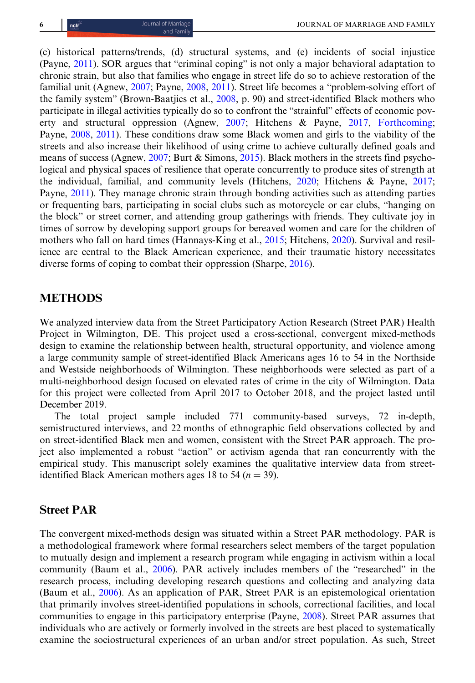(c) historical patterns/trends, (d) structural systems, and (e) incidents of social injustice (Payne, [2011](#page-20-0)). SOR argues that "criminal coping" is not only a major behavioral adaptation to chronic strain, but also that families who engage in street life do so to achieve restoration of the familial unit (Agnew, [2007;](#page-18-0) Payne, [2008](#page-20-0), [2011\)](#page-20-0). Street life becomes a "problem-solving effort of the family system" (Brown-Baatjies et al., [2008,](#page-18-0) p. 90) and street-identified Black mothers who participate in illegal activities typically do so to confront the "strainful" effects of economic poverty and structural oppression (Agnew, [2007;](#page-18-0) Hitchens & Payne, [2017,](#page-19-0) [Forthcoming](#page-19-0); Payne, [2008](#page-20-0), [2011](#page-20-0)). These conditions draw some Black women and girls to the viability of the streets and also increase their likelihood of using crime to achieve culturally defined goals and means of success (Agnew, [2007;](#page-18-0) Burt & Simons, [2015](#page-18-0)). Black mothers in the streets find psychological and physical spaces of resilience that operate concurrently to produce sites of strength at the individual, familial, and community levels (Hitchens, [2020;](#page-19-0) Hitchens & Payne, [2017](#page-19-0); Payne, [2011](#page-20-0)). They manage chronic strain through bonding activities such as attending parties or frequenting bars, participating in social clubs such as motorcycle or car clubs, "hanging on the block" or street corner, and attending group gatherings with friends. They cultivate joy in times of sorrow by developing support groups for bereaved women and care for the children of mothers who fall on hard times (Hannays-King et al., [2015](#page-19-0); Hitchens, [2020\)](#page-19-0). Survival and resilience are central to the Black American experience, and their traumatic history necessitates diverse forms of coping to combat their oppression (Sharpe, [2016](#page-20-0)).

# **METHODS**

We analyzed interview data from the Street Participatory Action Research (Street PAR) Health Project in Wilmington, DE. This project used a cross-sectional, convergent mixed-methods design to examine the relationship between health, structural opportunity, and violence among a large community sample of street-identified Black Americans ages 16 to 54 in the Northside and Westside neighborhoods of Wilmington. These neighborhoods were selected as part of a multi-neighborhood design focused on elevated rates of crime in the city of Wilmington. Data for this project were collected from April 2017 to October 2018, and the project lasted until December 2019.

The total project sample included 771 community-based surveys, 72 in-depth, semistructured interviews, and 22 months of ethnographic field observations collected by and on street-identified Black men and women, consistent with the Street PAR approach. The project also implemented a robust "action" or activism agenda that ran concurrently with the empirical study. This manuscript solely examines the qualitative interview data from streetidentified Black American mothers ages 18 to 54 ( $n = 39$ ).

#### Street PAR

The convergent mixed-methods design was situated within a Street PAR methodology. PAR is a methodological framework where formal researchers select members of the target population to mutually design and implement a research program while engaging in activism within a local community (Baum et al., [2006\)](#page-18-0). PAR actively includes members of the "researched" in the research process, including developing research questions and collecting and analyzing data (Baum et al., [2006\)](#page-18-0). As an application of PAR, Street PAR is an epistemological orientation that primarily involves street-identified populations in schools, correctional facilities, and local communities to engage in this participatory enterprise (Payne, [2008\)](#page-20-0). Street PAR assumes that individuals who are actively or formerly involved in the streets are best placed to systematically examine the sociostructural experiences of an urban and/or street population. As such, Street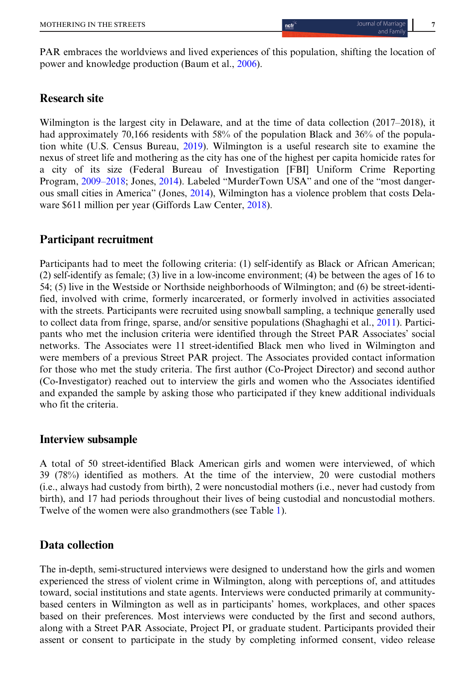PAR embraces the worldviews and lived experiences of this population, shifting the location of power and knowledge production (Baum et al., [2006](#page-18-0)).

# Research site

Wilmington is the largest city in Delaware, and at the time of data collection (2017–2018), it had approximately 70,166 residents with 58% of the population Black and 36% of the population white (U.S. Census Bureau, [2019](#page-20-0)). Wilmington is a useful research site to examine the nexus of street life and mothering as the city has one of the highest per capita homicide rates for a city of its size (Federal Bureau of Investigation [FBI] Uniform Crime Reporting Program, [2009](#page-18-0)–2018; Jones, [2014](#page-19-0)). Labeled "MurderTown USA" and one of the "most dangerous small cities in America" (Jones, [2014](#page-19-0)), Wilmington has a violence problem that costs Delaware \$611 million per year (Giffords Law Center, [2018](#page-19-0)).

# Participant recruitment

Participants had to meet the following criteria: (1) self-identify as Black or African American; (2) self-identify as female; (3) live in a low-income environment; (4) be between the ages of 16 to 54; (5) live in the Westside or Northside neighborhoods of Wilmington; and (6) be street-identified, involved with crime, formerly incarcerated, or formerly involved in activities associated with the streets. Participants were recruited using snowball sampling, a technique generally used to collect data from fringe, sparse, and/or sensitive populations (Shaghaghi et al., [2011\)](#page-20-0). Participants who met the inclusion criteria were identified through the Street PAR Associates' social networks. The Associates were 11 street-identified Black men who lived in Wilmington and were members of a previous Street PAR project. The Associates provided contact information for those who met the study criteria. The first author (Co-Project Director) and second author (Co-Investigator) reached out to interview the girls and women who the Associates identified and expanded the sample by asking those who participated if they knew additional individuals who fit the criteria.

# Interview subsample

A total of 50 street-identified Black American girls and women were interviewed, of which 39 (78%) identified as mothers. At the time of the interview, 20 were custodial mothers (i.e., always had custody from birth), 2 were noncustodial mothers (i.e., never had custody from birth), and 17 had periods throughout their lives of being custodial and noncustodial mothers. Twelve of the women were also grandmothers (see Table [1\)](#page-7-0).

# Data collection

The in-depth, semi-structured interviews were designed to understand how the girls and women experienced the stress of violent crime in Wilmington, along with perceptions of, and attitudes toward, social institutions and state agents. Interviews were conducted primarily at communitybased centers in Wilmington as well as in participants' homes, workplaces, and other spaces based on their preferences. Most interviews were conducted by the first and second authors, along with a Street PAR Associate, Project PI, or graduate student. Participants provided their assent or consent to participate in the study by completing informed consent, video release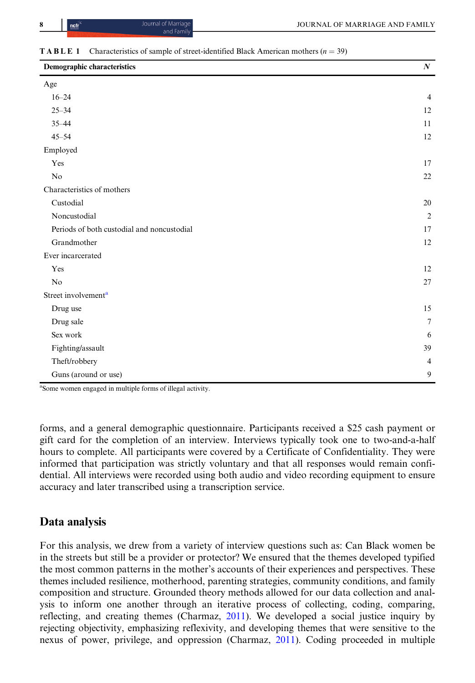# <span id="page-7-0"></span>**TABLE 1** Characteristics of sample of street-identified Black American mothers ( $n = 39$ )

| Demographic characteristics                | $\boldsymbol{N}$ |
|--------------------------------------------|------------------|
| Age                                        |                  |
| $16 - 24$                                  | $\overline{4}$   |
| $25 - 34$                                  | 12               |
| $35 - 44$                                  | 11               |
| $45 - 54$                                  | 12               |
| Employed                                   |                  |
| Yes                                        | 17               |
| N <sub>o</sub>                             | $22\,$           |
| Characteristics of mothers                 |                  |
| Custodial                                  | 20               |
| Noncustodial                               | $\overline{2}$   |
| Periods of both custodial and noncustodial | 17               |
| Grandmother                                | 12               |
| Ever incarcerated                          |                  |
| Yes                                        | 12               |
| No                                         | 27               |
| Street involvement <sup>a</sup>            |                  |
| Drug use                                   | 15               |
| Drug sale                                  | $\overline{7}$   |
| Sex work                                   | 6                |
| Fighting/assault                           | 39               |
| Theft/robbery                              | $\overline{4}$   |
| Guns (around or use)                       | 9                |

<sup>a</sup>Some women engaged in multiple forms of illegal activity.

forms, and a general demographic questionnaire. Participants received a \$25 cash payment or gift card for the completion of an interview. Interviews typically took one to two-and-a-half hours to complete. All participants were covered by a Certificate of Confidentiality. They were informed that participation was strictly voluntary and that all responses would remain confidential. All interviews were recorded using both audio and video recording equipment to ensure accuracy and later transcribed using a transcription service.

# Data analysis

For this analysis, we drew from a variety of interview questions such as: Can Black women be in the streets but still be a provider or protector? We ensured that the themes developed typified the most common patterns in the mother's accounts of their experiences and perspectives. These themes included resilience, motherhood, parenting strategies, community conditions, and family composition and structure. Grounded theory methods allowed for our data collection and analysis to inform one another through an iterative process of collecting, coding, comparing, reflecting, and creating themes (Charmaz, [2011\)](#page-18-0). We developed a social justice inquiry by rejecting objectivity, emphasizing reflexivity, and developing themes that were sensitive to the nexus of power, privilege, and oppression (Charmaz, [2011](#page-18-0)). Coding proceeded in multiple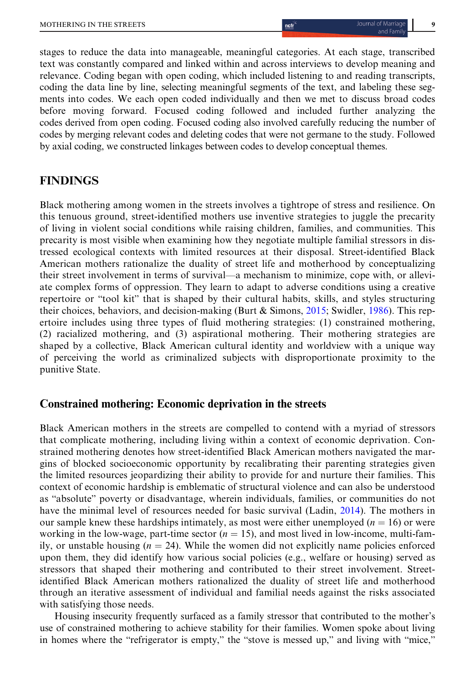stages to reduce the data into manageable, meaningful categories. At each stage, transcribed text was constantly compared and linked within and across interviews to develop meaning and relevance. Coding began with open coding, which included listening to and reading transcripts, coding the data line by line, selecting meaningful segments of the text, and labeling these segments into codes. We each open coded individually and then we met to discuss broad codes before moving forward. Focused coding followed and included further analyzing the codes derived from open coding. Focused coding also involved carefully reducing the number of codes by merging relevant codes and deleting codes that were not germane to the study. Followed by axial coding, we constructed linkages between codes to develop conceptual themes.

# FINDINGS

Black mothering among women in the streets involves a tightrope of stress and resilience. On this tenuous ground, street-identified mothers use inventive strategies to juggle the precarity of living in violent social conditions while raising children, families, and communities. This precarity is most visible when examining how they negotiate multiple familial stressors in distressed ecological contexts with limited resources at their disposal. Street-identified Black American mothers rationalize the duality of street life and motherhood by conceptualizing their street involvement in terms of survival—a mechanism to minimize, cope with, or alleviate complex forms of oppression. They learn to adapt to adverse conditions using a creative repertoire or "tool kit" that is shaped by their cultural habits, skills, and styles structuring their choices, behaviors, and decision-making (Burt & Simons, [2015;](#page-18-0) Swidler, [1986\)](#page-20-0). This repertoire includes using three types of fluid mothering strategies: (1) constrained mothering, (2) racialized mothering, and (3) aspirational mothering. Their mothering strategies are shaped by a collective, Black American cultural identity and worldview with a unique way of perceiving the world as criminalized subjects with disproportionate proximity to the punitive State.

# Constrained mothering: Economic deprivation in the streets

Black American mothers in the streets are compelled to contend with a myriad of stressors that complicate mothering, including living within a context of economic deprivation. Constrained mothering denotes how street-identified Black American mothers navigated the margins of blocked socioeconomic opportunity by recalibrating their parenting strategies given the limited resources jeopardizing their ability to provide for and nurture their families. This context of economic hardship is emblematic of structural violence and can also be understood as "absolute" poverty or disadvantage, wherein individuals, families, or communities do not have the minimal level of resources needed for basic survival (Ladin, [2014\)](#page-19-0). The mothers in our sample knew these hardships intimately, as most were either unemployed ( $n = 16$ ) or were working in the low-wage, part-time sector  $(n = 15)$ , and most lived in low-income, multi-family, or unstable housing  $(n = 24)$ . While the women did not explicitly name policies enforced upon them, they did identify how various social policies (e.g., welfare or housing) served as stressors that shaped their mothering and contributed to their street involvement. Streetidentified Black American mothers rationalized the duality of street life and motherhood through an iterative assessment of individual and familial needs against the risks associated with satisfying those needs.

Housing insecurity frequently surfaced as a family stressor that contributed to the mother's use of constrained mothering to achieve stability for their families. Women spoke about living in homes where the "refrigerator is empty," the "stove is messed up," and living with "mice,"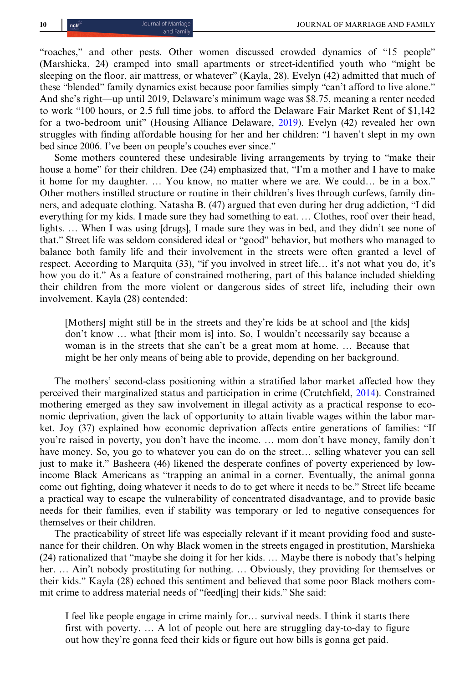"roaches," and other pests. Other women discussed crowded dynamics of "15 people" (Marshieka, 24) cramped into small apartments or street-identified youth who "might be sleeping on the floor, air mattress, or whatever" (Kayla, 28). Evelyn (42) admitted that much of these "blended" family dynamics exist because poor families simply "can't afford to live alone." And she's right—up until 2019, Delaware's minimum wage was \$8.75, meaning a renter needed to work "100 hours, or 2.5 full time jobs, to afford the Delaware Fair Market Rent of \$1,142 for a two-bedroom unit" (Housing Alliance Delaware, [2019](#page-19-0)). Evelyn (42) revealed her own struggles with finding affordable housing for her and her children: "I haven't slept in my own bed since 2006. I've been on people's couches ever since."

Some mothers countered these undesirable living arrangements by trying to "make their house a home" for their children. Dee (24) emphasized that, "I'm a mother and I have to make it home for my daughter. … You know, no matter where we are. We could… be in a box." Other mothers instilled structure or routine in their children's lives through curfews, family dinners, and adequate clothing. Natasha B. (47) argued that even during her drug addiction, "I did everything for my kids. I made sure they had something to eat. … Clothes, roof over their head, lights. … When I was using [drugs], I made sure they was in bed, and they didn't see none of that." Street life was seldom considered ideal or "good" behavior, but mothers who managed to balance both family life and their involvement in the streets were often granted a level of respect. According to Marquita (33), "if you involved in street life… it's not what you do, it's how you do it." As a feature of constrained mothering, part of this balance included shielding their children from the more violent or dangerous sides of street life, including their own involvement. Kayla (28) contended:

[Mothers] might still be in the streets and they're kids be at school and [the kids] don't know … what [their mom is] into. So, I wouldn't necessarily say because a woman is in the streets that she can't be a great mom at home. … Because that might be her only means of being able to provide, depending on her background.

The mothers' second-class positioning within a stratified labor market affected how they perceived their marginalized status and participation in crime (Crutchfield, [2014](#page-18-0)). Constrained mothering emerged as they saw involvement in illegal activity as a practical response to economic deprivation, given the lack of opportunity to attain livable wages within the labor market. Joy (37) explained how economic deprivation affects entire generations of families: "If you're raised in poverty, you don't have the income. … mom don't have money, family don't have money. So, you go to whatever you can do on the street… selling whatever you can sell just to make it." Basheera (46) likened the desperate confines of poverty experienced by lowincome Black Americans as "trapping an animal in a corner. Eventually, the animal gonna come out fighting, doing whatever it needs to do to get where it needs to be." Street life became a practical way to escape the vulnerability of concentrated disadvantage, and to provide basic needs for their families, even if stability was temporary or led to negative consequences for themselves or their children.

The practicability of street life was especially relevant if it meant providing food and sustenance for their children. On why Black women in the streets engaged in prostitution, Marshieka (24) rationalized that "maybe she doing it for her kids. … Maybe there is nobody that's helping her. … Ain't nobody prostituting for nothing. … Obviously, they providing for themselves or their kids." Kayla (28) echoed this sentiment and believed that some poor Black mothers commit crime to address material needs of "feed[ing] their kids." She said:

I feel like people engage in crime mainly for… survival needs. I think it starts there first with poverty. … A lot of people out here are struggling day-to-day to figure out how they're gonna feed their kids or figure out how bills is gonna get paid.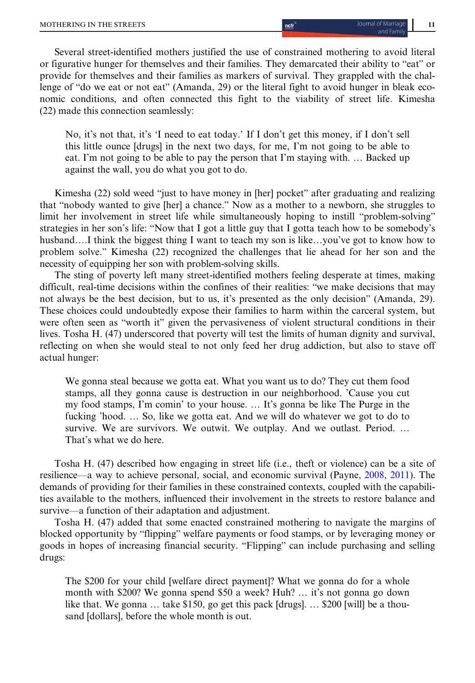Several street-identified mothers justified the use of constrained mothering to avoid literal or figurative hunger for themselves and their families. They demarcated their ability to "eat" or provide for themselves and their families as markers of survival. They grappled with the challenge of "do we eat or not eat" (Amanda, 29) or the literal fight to avoid hunger in bleak economic conditions, and often connected this fight to the viability of street life. Kimesha (22) made this connection seamlessly:

No, it's not that, it's 'I need to eat today.' If I don't get this money, if I don't sell this little ounce [drugs] in the next two days, for me, I'm not going to be able to eat. I'm not going to be able to pay the person that I'm staying with. … Backed up against the wall, you do what you got to do.

Kimesha (22) sold weed "just to have money in [her] pocket" after graduating and realizing that "nobody wanted to give [her] a chance." Now as a mother to a newborn, she struggles to limit her involvement in street life while simultaneously hoping to instill "problem-solving" strategies in her son's life: "Now that I got a little guy that I gotta teach how to be somebody's husband.…I think the biggest thing I want to teach my son is like…you've got to know how to problem solve." Kimesha (22) recognized the challenges that lie ahead for her son and the necessity of equipping her son with problem-solving skills.

The sting of poverty left many street-identified mothers feeling desperate at times, making difficult, real-time decisions within the confines of their realities: "we make decisions that may not always be the best decision, but to us, it's presented as the only decision" (Amanda, 29). These choices could undoubtedly expose their families to harm within the carceral system, but were often seen as "worth it" given the pervasiveness of violent structural conditions in their lives. Tosha H. (47) underscored that poverty will test the limits of human dignity and survival, reflecting on when she would steal to not only feed her drug addiction, but also to stave off actual hunger:

We gonna steal because we gotta eat. What you want us to do? They cut them food stamps, all they gonna cause is destruction in our neighborhood. 'Cause you cut my food stamps, I'm comin' to your house. … It's gonna be like The Purge in the fucking 'hood. … So, like we gotta eat. And we will do whatever we got to do to survive. We are survivors. We outwit. We outplay. And we outlast. Period. … That's what we do here.

Tosha H. (47) described how engaging in street life (i.e., theft or violence) can be a site of resilience—a way to achieve personal, social, and economic survival (Payne, [2008](#page-20-0), [2011](#page-20-0)). The demands of providing for their families in these constrained contexts, coupled with the capabilities available to the mothers, influenced their involvement in the streets to restore balance and survive—a function of their adaptation and adjustment.

Tosha H. (47) added that some enacted constrained mothering to navigate the margins of blocked opportunity by "flipping" welfare payments or food stamps, or by leveraging money or goods in hopes of increasing financial security. "Flipping" can include purchasing and selling drugs:

The \$200 for your child [welfare direct payment]? What we gonna do for a whole month with \$200? We gonna spend \$50 a week? Huh? … it's not gonna go down like that. We gonna … take \$150, go get this pack [drugs]. … \$200 [will] be a thousand [dollars], before the whole month is out.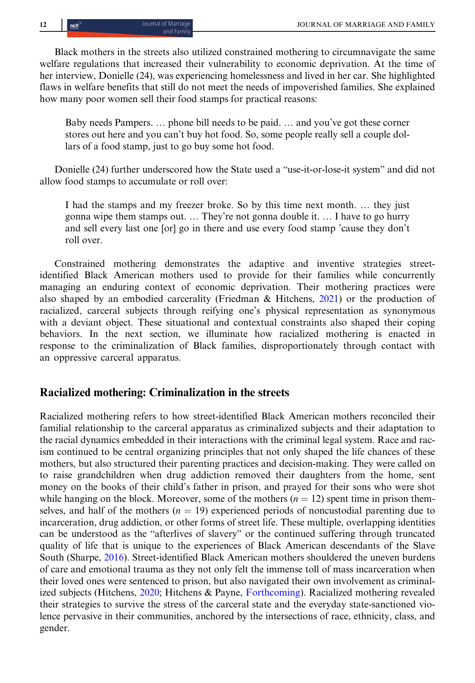Black mothers in the streets also utilized constrained mothering to circumnavigate the same welfare regulations that increased their vulnerability to economic deprivation. At the time of her interview, Donielle (24), was experiencing homelessness and lived in her car. She highlighted flaws in welfare benefits that still do not meet the needs of impoverished families. She explained how many poor women sell their food stamps for practical reasons:

Baby needs Pampers. … phone bill needs to be paid. … and you've got these corner stores out here and you can't buy hot food. So, some people really sell a couple dollars of a food stamp, just to go buy some hot food.

Donielle (24) further underscored how the State used a "use-it-or-lose-it system" and did not allow food stamps to accumulate or roll over:

I had the stamps and my freezer broke. So by this time next month. … they just gonna wipe them stamps out. … They're not gonna double it. … I have to go hurry and sell every last one [or] go in there and use every food stamp 'cause they don't roll over.

Constrained mothering demonstrates the adaptive and inventive strategies streetidentified Black American mothers used to provide for their families while concurrently managing an enduring context of economic deprivation. Their mothering practices were also shaped by an embodied carcerality (Friedman & Hitchens, [2021\)](#page-19-0) or the production of racialized, carceral subjects through reifying one's physical representation as synonymous with a deviant object. These situational and contextual constraints also shaped their coping behaviors. In the next section, we illuminate how racialized mothering is enacted in response to the criminalization of Black families, disproportionately through contact with an oppressive carceral apparatus.

### Racialized mothering: Criminalization in the streets

Racialized mothering refers to how street-identified Black American mothers reconciled their familial relationship to the carceral apparatus as criminalized subjects and their adaptation to the racial dynamics embedded in their interactions with the criminal legal system. Race and racism continued to be central organizing principles that not only shaped the life chances of these mothers, but also structured their parenting practices and decision-making. They were called on to raise grandchildren when drug addiction removed their daughters from the home, sent money on the books of their child's father in prison, and prayed for their sons who were shot while hanging on the block. Moreover, some of the mothers  $(n = 12)$  spent time in prison themselves, and half of the mothers ( $n = 19$ ) experienced periods of noncustodial parenting due to incarceration, drug addiction, or other forms of street life. These multiple, overlapping identities can be understood as the "afterlives of slavery" or the continued suffering through truncated quality of life that is unique to the experiences of Black American descendants of the Slave South (Sharpe, [2016](#page-20-0)). Street-identified Black American mothers shouldered the uneven burdens of care and emotional trauma as they not only felt the immense toll of mass incarceration when their loved ones were sentenced to prison, but also navigated their own involvement as criminalized subjects (Hitchens, [2020;](#page-19-0) Hitchens & Payne, [Forthcoming](#page-19-0)). Racialized mothering revealed their strategies to survive the stress of the carceral state and the everyday state-sanctioned violence pervasive in their communities, anchored by the intersections of race, ethnicity, class, and gender.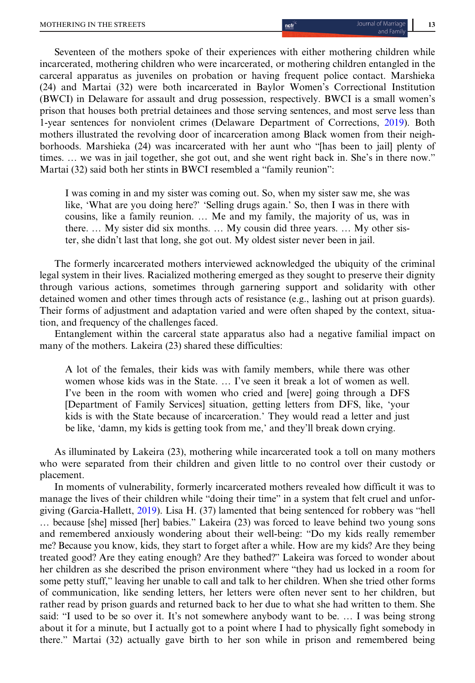Seventeen of the mothers spoke of their experiences with either mothering children while incarcerated, mothering children who were incarcerated, or mothering children entangled in the carceral apparatus as juveniles on probation or having frequent police contact. Marshieka (24) and Martai (32) were both incarcerated in Baylor Women's Correctional Institution (BWCI) in Delaware for assault and drug possession, respectively. BWCI is a small women's prison that houses both pretrial detainees and those serving sentences, and most serve less than 1-year sentences for nonviolent crimes (Delaware Department of Corrections, [2019](#page-18-0)). Both mothers illustrated the revolving door of incarceration among Black women from their neighborhoods. Marshieka (24) was incarcerated with her aunt who "[has been to jail] plenty of times. … we was in jail together, she got out, and she went right back in. She's in there now." Martai (32) said both her stints in BWCI resembled a "family reunion":

I was coming in and my sister was coming out. So, when my sister saw me, she was like, 'What are you doing here?' 'Selling drugs again.' So, then I was in there with cousins, like a family reunion. … Me and my family, the majority of us, was in there. … My sister did six months. … My cousin did three years. … My other sister, she didn't last that long, she got out. My oldest sister never been in jail.

The formerly incarcerated mothers interviewed acknowledged the ubiquity of the criminal legal system in their lives. Racialized mothering emerged as they sought to preserve their dignity through various actions, sometimes through garnering support and solidarity with other detained women and other times through acts of resistance (e.g., lashing out at prison guards). Their forms of adjustment and adaptation varied and were often shaped by the context, situation, and frequency of the challenges faced.

Entanglement within the carceral state apparatus also had a negative familial impact on many of the mothers. Lakeira (23) shared these difficulties:

A lot of the females, their kids was with family members, while there was other women whose kids was in the State. … I've seen it break a lot of women as well. I've been in the room with women who cried and [were] going through a DFS [Department of Family Services] situation, getting letters from DFS, like, 'your kids is with the State because of incarceration.' They would read a letter and just be like, 'damn, my kids is getting took from me,' and they'll break down crying.

As illuminated by Lakeira (23), mothering while incarcerated took a toll on many mothers who were separated from their children and given little to no control over their custody or placement.

In moments of vulnerability, formerly incarcerated mothers revealed how difficult it was to manage the lives of their children while "doing their time" in a system that felt cruel and unforgiving (Garcia-Hallett, [2019](#page-19-0)). Lisa H. (37) lamented that being sentenced for robbery was "hell … because [she] missed [her] babies." Lakeira (23) was forced to leave behind two young sons and remembered anxiously wondering about their well-being: "Do my kids really remember me? Because you know, kids, they start to forget after a while. How are my kids? Are they being treated good? Are they eating enough? Are they bathed?" Lakeira was forced to wonder about her children as she described the prison environment where "they had us locked in a room for some petty stuff," leaving her unable to call and talk to her children. When she tried other forms of communication, like sending letters, her letters were often never sent to her children, but rather read by prison guards and returned back to her due to what she had written to them. She said: "I used to be so over it. It's not somewhere anybody want to be. … I was being strong about it for a minute, but I actually got to a point where I had to physically fight somebody in there." Martai (32) actually gave birth to her son while in prison and remembered being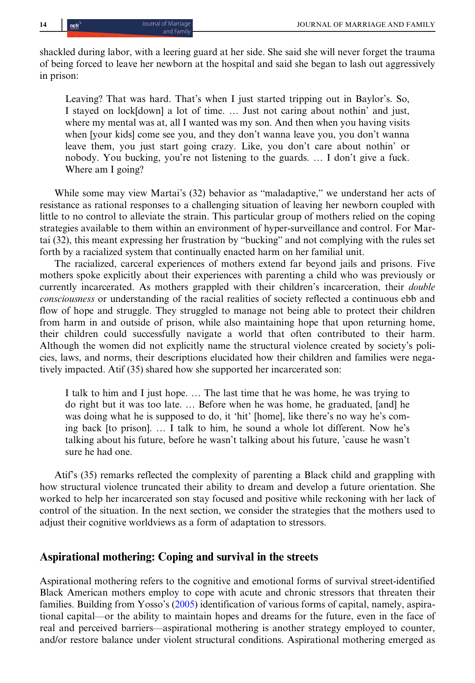shackled during labor, with a leering guard at her side. She said she will never forget the trauma of being forced to leave her newborn at the hospital and said she began to lash out aggressively in prison:

Leaving? That was hard. That's when I just started tripping out in Baylor's. So, I stayed on lock[down] a lot of time. … Just not caring about nothin' and just, where my mental was at, all I wanted was my son. And then when you having visits when [your kids] come see you, and they don't wanna leave you, you don't wanna leave them, you just start going crazy. Like, you don't care about nothin' or nobody. You bucking, you're not listening to the guards. … I don't give a fuck. Where am I going?

While some may view Martai's (32) behavior as "maladaptive," we understand her acts of resistance as rational responses to a challenging situation of leaving her newborn coupled with little to no control to alleviate the strain. This particular group of mothers relied on the coping strategies available to them within an environment of hyper-surveillance and control. For Martai (32), this meant expressing her frustration by "bucking" and not complying with the rules set forth by a racialized system that continually enacted harm on her familial unit.

The racialized, carceral experiences of mothers extend far beyond jails and prisons. Five mothers spoke explicitly about their experiences with parenting a child who was previously or currently incarcerated. As mothers grappled with their children's incarceration, their *double* consciousness or understanding of the racial realities of society reflected a continuous ebb and flow of hope and struggle. They struggled to manage not being able to protect their children from harm in and outside of prison, while also maintaining hope that upon returning home, their children could successfully navigate a world that often contributed to their harm. Although the women did not explicitly name the structural violence created by society's policies, laws, and norms, their descriptions elucidated how their children and families were negatively impacted. Atif (35) shared how she supported her incarcerated son:

I talk to him and I just hope. … The last time that he was home, he was trying to do right but it was too late. … Before when he was home, he graduated, [and] he was doing what he is supposed to do, it 'hit' [home], like there's no way he's coming back [to prison]. … I talk to him, he sound a whole lot different. Now he's talking about his future, before he wasn't talking about his future, 'cause he wasn't sure he had one.

Atif's (35) remarks reflected the complexity of parenting a Black child and grappling with how structural violence truncated their ability to dream and develop a future orientation. She worked to help her incarcerated son stay focused and positive while reckoning with her lack of control of the situation. In the next section, we consider the strategies that the mothers used to adjust their cognitive worldviews as a form of adaptation to stressors.

#### Aspirational mothering: Coping and survival in the streets

Aspirational mothering refers to the cognitive and emotional forms of survival street-identified Black American mothers employ to cope with acute and chronic stressors that threaten their families. Building from Yosso's ([2005\)](#page-20-0) identification of various forms of capital, namely, aspirational capital—or the ability to maintain hopes and dreams for the future, even in the face of real and perceived barriers—aspirational mothering is another strategy employed to counter, and/or restore balance under violent structural conditions. Aspirational mothering emerged as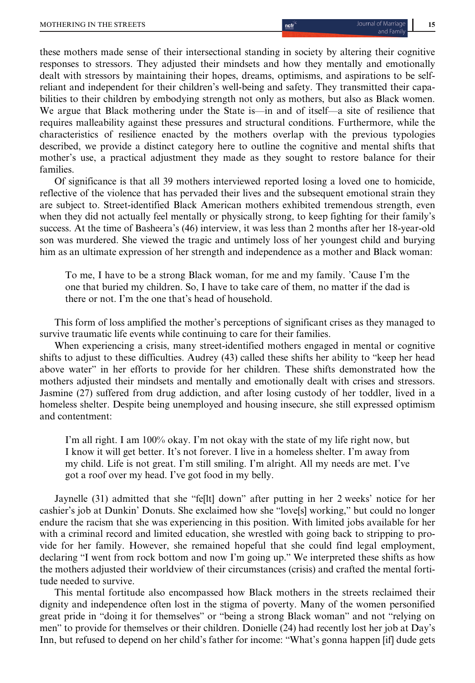these mothers made sense of their intersectional standing in society by altering their cognitive responses to stressors. They adjusted their mindsets and how they mentally and emotionally dealt with stressors by maintaining their hopes, dreams, optimisms, and aspirations to be selfreliant and independent for their children's well-being and safety. They transmitted their capabilities to their children by embodying strength not only as mothers, but also as Black women. We argue that Black mothering under the State is—in and of itself—a site of resilience that requires malleability against these pressures and structural conditions. Furthermore, while the characteristics of resilience enacted by the mothers overlap with the previous typologies described, we provide a distinct category here to outline the cognitive and mental shifts that mother's use, a practical adjustment they made as they sought to restore balance for their families.

Of significance is that all 39 mothers interviewed reported losing a loved one to homicide, reflective of the violence that has pervaded their lives and the subsequent emotional strain they are subject to. Street-identified Black American mothers exhibited tremendous strength, even when they did not actually feel mentally or physically strong, to keep fighting for their family's success. At the time of Basheera's (46) interview, it was less than 2 months after her 18-year-old son was murdered. She viewed the tragic and untimely loss of her youngest child and burying him as an ultimate expression of her strength and independence as a mother and Black woman:

To me, I have to be a strong Black woman, for me and my family. 'Cause I'm the one that buried my children. So, I have to take care of them, no matter if the dad is there or not. I'm the one that's head of household.

This form of loss amplified the mother's perceptions of significant crises as they managed to survive traumatic life events while continuing to care for their families.

When experiencing a crisis, many street-identified mothers engaged in mental or cognitive shifts to adjust to these difficulties. Audrey (43) called these shifts her ability to "keep her head above water" in her efforts to provide for her children. These shifts demonstrated how the mothers adjusted their mindsets and mentally and emotionally dealt with crises and stressors. Jasmine (27) suffered from drug addiction, and after losing custody of her toddler, lived in a homeless shelter. Despite being unemployed and housing insecure, she still expressed optimism and contentment:

I'm all right. I am 100% okay. I'm not okay with the state of my life right now, but I know it will get better. It's not forever. I live in a homeless shelter. I'm away from my child. Life is not great. I'm still smiling. I'm alright. All my needs are met. I've got a roof over my head. I've got food in my belly.

Jaynelle (31) admitted that she "fe[lt] down" after putting in her 2 weeks' notice for her cashier's job at Dunkin' Donuts. She exclaimed how she "love[s] working," but could no longer endure the racism that she was experiencing in this position. With limited jobs available for her with a criminal record and limited education, she wrestled with going back to stripping to provide for her family. However, she remained hopeful that she could find legal employment, declaring "I went from rock bottom and now I'm going up." We interpreted these shifts as how the mothers adjusted their worldview of their circumstances (crisis) and crafted the mental fortitude needed to survive.

This mental fortitude also encompassed how Black mothers in the streets reclaimed their dignity and independence often lost in the stigma of poverty. Many of the women personified great pride in "doing it for themselves" or "being a strong Black woman" and not "relying on men" to provide for themselves or their children. Donielle (24) had recently lost her job at Day's Inn, but refused to depend on her child's father for income: "What's gonna happen [if] dude gets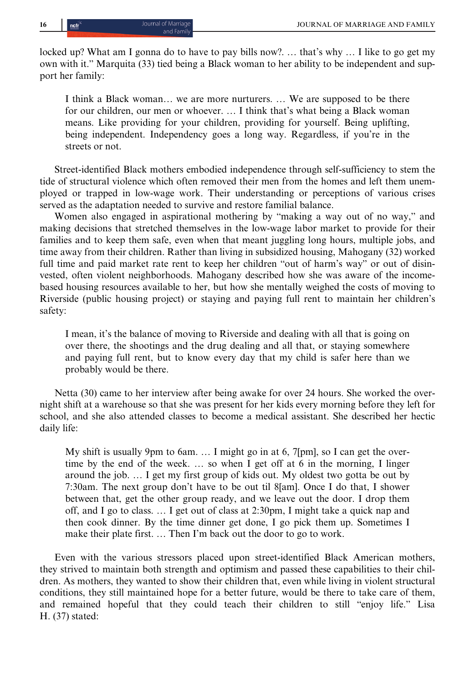locked up? What am I gonna do to have to pay bills now?. ... that's why ... I like to go get my own with it." Marquita (33) tied being a Black woman to her ability to be independent and support her family:

I think a Black woman… we are more nurturers. … We are supposed to be there for our children, our men or whoever. … I think that's what being a Black woman means. Like providing for your children, providing for yourself. Being uplifting, being independent. Independency goes a long way. Regardless, if you're in the streets or not.

Street-identified Black mothers embodied independence through self-sufficiency to stem the tide of structural violence which often removed their men from the homes and left them unemployed or trapped in low-wage work. Their understanding or perceptions of various crises served as the adaptation needed to survive and restore familial balance.

Women also engaged in aspirational mothering by "making a way out of no way," and making decisions that stretched themselves in the low-wage labor market to provide for their families and to keep them safe, even when that meant juggling long hours, multiple jobs, and time away from their children. Rather than living in subsidized housing, Mahogany (32) worked full time and paid market rate rent to keep her children "out of harm's way" or out of disinvested, often violent neighborhoods. Mahogany described how she was aware of the incomebased housing resources available to her, but how she mentally weighed the costs of moving to Riverside (public housing project) or staying and paying full rent to maintain her children's safety:

I mean, it's the balance of moving to Riverside and dealing with all that is going on over there, the shootings and the drug dealing and all that, or staying somewhere and paying full rent, but to know every day that my child is safer here than we probably would be there.

Netta (30) came to her interview after being awake for over 24 hours. She worked the overnight shift at a warehouse so that she was present for her kids every morning before they left for school, and she also attended classes to become a medical assistant. She described her hectic daily life:

My shift is usually 9pm to 6am. … I might go in at 6, 7[pm], so I can get the overtime by the end of the week. … so when I get off at 6 in the morning, I linger around the job. … I get my first group of kids out. My oldest two gotta be out by 7:30am. The next group don't have to be out til 8[am]. Once I do that, I shower between that, get the other group ready, and we leave out the door. I drop them off, and I go to class. … I get out of class at 2:30pm, I might take a quick nap and then cook dinner. By the time dinner get done, I go pick them up. Sometimes I make their plate first. … Then I'm back out the door to go to work.

Even with the various stressors placed upon street-identified Black American mothers, they strived to maintain both strength and optimism and passed these capabilities to their children. As mothers, they wanted to show their children that, even while living in violent structural conditions, they still maintained hope for a better future, would be there to take care of them, and remained hopeful that they could teach their children to still "enjoy life." Lisa H. (37) stated: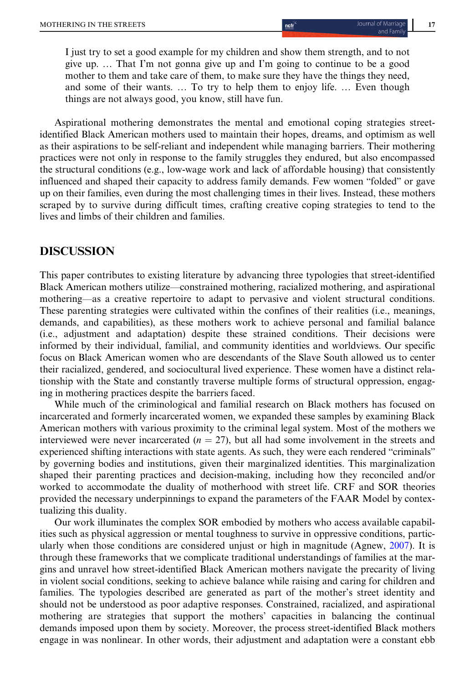I just try to set a good example for my children and show them strength, and to not give up. … That I'm not gonna give up and I'm going to continue to be a good mother to them and take care of them, to make sure they have the things they need, and some of their wants. … To try to help them to enjoy life. … Even though things are not always good, you know, still have fun.

Aspirational mothering demonstrates the mental and emotional coping strategies streetidentified Black American mothers used to maintain their hopes, dreams, and optimism as well as their aspirations to be self-reliant and independent while managing barriers. Their mothering practices were not only in response to the family struggles they endured, but also encompassed the structural conditions (e.g., low-wage work and lack of affordable housing) that consistently influenced and shaped their capacity to address family demands. Few women "folded" or gave up on their families, even during the most challenging times in their lives. Instead, these mothers scraped by to survive during difficult times, crafting creative coping strategies to tend to the lives and limbs of their children and families.

# DISCUSSION

This paper contributes to existing literature by advancing three typologies that street-identified Black American mothers utilize—constrained mothering, racialized mothering, and aspirational mothering—as a creative repertoire to adapt to pervasive and violent structural conditions. These parenting strategies were cultivated within the confines of their realities (i.e., meanings, demands, and capabilities), as these mothers work to achieve personal and familial balance (i.e., adjustment and adaptation) despite these strained conditions. Their decisions were informed by their individual, familial, and community identities and worldviews. Our specific focus on Black American women who are descendants of the Slave South allowed us to center their racialized, gendered, and sociocultural lived experience. These women have a distinct relationship with the State and constantly traverse multiple forms of structural oppression, engaging in mothering practices despite the barriers faced.

While much of the criminological and familial research on Black mothers has focused on incarcerated and formerly incarcerated women, we expanded these samples by examining Black American mothers with various proximity to the criminal legal system. Most of the mothers we interviewed were never incarcerated  $(n = 27)$ , but all had some involvement in the streets and experienced shifting interactions with state agents. As such, they were each rendered "criminals" by governing bodies and institutions, given their marginalized identities. This marginalization shaped their parenting practices and decision-making, including how they reconciled and/or worked to accommodate the duality of motherhood with street life. CRF and SOR theories provided the necessary underpinnings to expand the parameters of the FAAR Model by contextualizing this duality.

Our work illuminates the complex SOR embodied by mothers who access available capabilities such as physical aggression or mental toughness to survive in oppressive conditions, particularly when those conditions are considered unjust or high in magnitude (Agnew, [2007\)](#page-18-0). It is through these frameworks that we complicate traditional understandings of families at the margins and unravel how street-identified Black American mothers navigate the precarity of living in violent social conditions, seeking to achieve balance while raising and caring for children and families. The typologies described are generated as part of the mother's street identity and should not be understood as poor adaptive responses. Constrained, racialized, and aspirational mothering are strategies that support the mothers' capacities in balancing the continual demands imposed upon them by society. Moreover, the process street-identified Black mothers engage in was nonlinear. In other words, their adjustment and adaptation were a constant ebb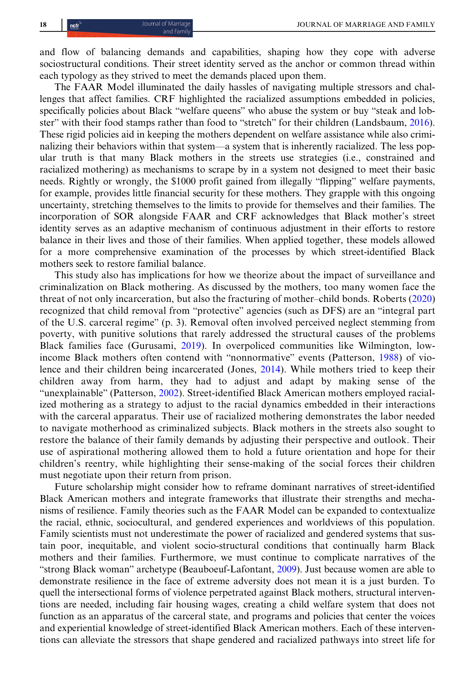and flow of balancing demands and capabilities, shaping how they cope with adverse sociostructural conditions. Their street identity served as the anchor or common thread within each typology as they strived to meet the demands placed upon them.

The FAAR Model illuminated the daily hassles of navigating multiple stressors and challenges that affect families. CRF highlighted the racialized assumptions embedded in policies, specifically policies about Black "welfare queens" who abuse the system or buy "steak and lobster" with their food stamps rather than food to "stretch" for their children (Landsbaum, [2016](#page-19-0)). These rigid policies aid in keeping the mothers dependent on welfare assistance while also criminalizing their behaviors within that system—a system that is inherently racialized. The less popular truth is that many Black mothers in the streets use strategies (i.e., constrained and racialized mothering) as mechanisms to scrape by in a system not designed to meet their basic needs. Rightly or wrongly, the \$1000 profit gained from illegally "flipping" welfare payments, for example, provides little financial security for these mothers. They grapple with this ongoing uncertainty, stretching themselves to the limits to provide for themselves and their families. The incorporation of SOR alongside FAAR and CRF acknowledges that Black mother's street identity serves as an adaptive mechanism of continuous adjustment in their efforts to restore balance in their lives and those of their families. When applied together, these models allowed for a more comprehensive examination of the processes by which street-identified Black mothers seek to restore familial balance.

This study also has implications for how we theorize about the impact of surveillance and criminalization on Black mothering. As discussed by the mothers, too many women face the threat of not only incarceration, but also the fracturing of mother–child bonds. Roberts ([2020\)](#page-20-0) recognized that child removal from "protective" agencies (such as DFS) are an "integral part of the U.S. carceral regime" (p. 3). Removal often involved perceived neglect stemming from poverty, with punitive solutions that rarely addressed the structural causes of the problems Black families face (Gurusami, [2019](#page-19-0)). In overpoliced communities like Wilmington, lowincome Black mothers often contend with "nonnormative" events (Patterson, [1988](#page-20-0)) of violence and their children being incarcerated (Jones, [2014](#page-19-0)). While mothers tried to keep their children away from harm, they had to adjust and adapt by making sense of the "unexplainable" (Patterson, [2002\)](#page-20-0). Street-identified Black American mothers employed racialized mothering as a strategy to adjust to the racial dynamics embedded in their interactions with the carceral apparatus. Their use of racialized mothering demonstrates the labor needed to navigate motherhood as criminalized subjects. Black mothers in the streets also sought to restore the balance of their family demands by adjusting their perspective and outlook. Their use of aspirational mothering allowed them to hold a future orientation and hope for their children's reentry, while highlighting their sense-making of the social forces their children must negotiate upon their return from prison.

Future scholarship might consider how to reframe dominant narratives of street-identified Black American mothers and integrate frameworks that illustrate their strengths and mechanisms of resilience. Family theories such as the FAAR Model can be expanded to contextualize the racial, ethnic, sociocultural, and gendered experiences and worldviews of this population. Family scientists must not underestimate the power of racialized and gendered systems that sustain poor, inequitable, and violent socio-structural conditions that continually harm Black mothers and their families. Furthermore, we must continue to complicate narratives of the "strong Black woman" archetype (Beauboeuf-Lafontant, [2009\)](#page-18-0). Just because women are able to demonstrate resilience in the face of extreme adversity does not mean it is a just burden. To quell the intersectional forms of violence perpetrated against Black mothers, structural interventions are needed, including fair housing wages, creating a child welfare system that does not function as an apparatus of the carceral state, and programs and policies that center the voices and experiential knowledge of street-identified Black American mothers. Each of these interventions can alleviate the stressors that shape gendered and racialized pathways into street life for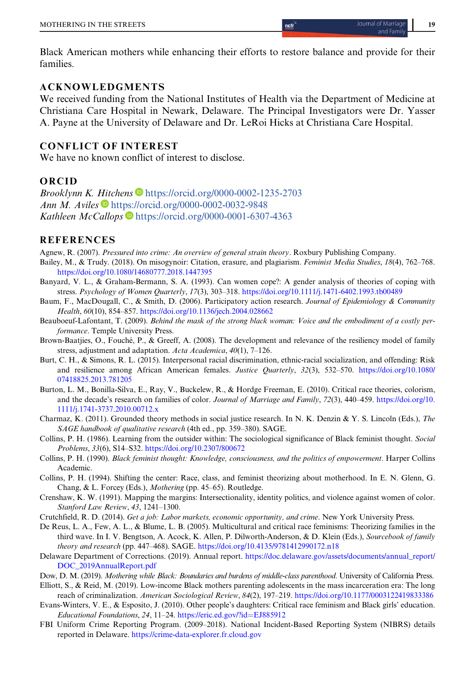<span id="page-18-0"></span>Black American mothers while enhancing their efforts to restore balance and provide for their families.

#### ACKNOWLEDGMENTS

We received funding from the National Institutes of Health via the Department of Medicine at Christiana Care Hospital in Newark, Delaware. The Principal Investigators were Dr. Yasser A. Payne at the University of Delaware and Dr. LeRoi Hicks at Christiana Care Hospital.

### CONFLICT OF INTEREST

We have no known conflict of interest to disclose.

#### ORCID

Brooklynn K. Hitchens  $\blacksquare$  <https://orcid.org/0000-0002-1235-2703> Ann M. Aviles  $\blacksquare$  <https://orcid.org/0000-0002-0032-9848> Kathleen McCallops <https://orcid.org/0000-0001-6307-4363>

#### **REFERENCES**

Agnew, R. (2007). Pressured into crime: An overview of general strain theory. Roxbury Publishing Company.

- Bailey, M., & Trudy. (2018). On misogynoir: Citation, erasure, and plagiarism. Feminist Media Studies, 18(4), 762–768. <https://doi.org/10.1080/14680777.2018.1447395>
- Banyard, V. L., & Graham-Bermann, S. A. (1993). Can women cope?: A gender analysis of theories of coping with stress. Psychology of Women Quarterly, 17(3), 303–318. <https://doi.org/10.1111/j.1471-6402.1993.tb00489>
- Baum, F., MacDougall, C., & Smith, D. (2006). Participatory action research. Journal of Epidemiology & Community Health, 60(10), 854–857. <https://doi.org/10.1136/jech.2004.028662>
- Beauboeuf-Lafontant, T. (2009). Behind the mask of the strong black woman: Voice and the embodiment of a costly performance. Temple University Press.
- Brown-Baatjies, O., Fouché, P., & Greeff, A. (2008). The development and relevance of the resiliency model of family stress, adjustment and adaptation. Acta Academica, 40(1), 7–126.
- Burt, C. H., & Simons, R. L. (2015). Interpersonal racial discrimination, ethnic-racial socialization, and offending: Risk and resilience among African American females. Justice Quarterly, 32(3), 532–570. [https://doi.org/10.1080/](https://doi.org/10.1080/07418825.2013.781205) [07418825.2013.781205](https://doi.org/10.1080/07418825.2013.781205)
- Burton, L. M., Bonilla-Silva, E., Ray, V., Buckelew, R., & Hordge Freeman, E. (2010). Critical race theories, colorism, and the decade's research on families of color. Journal of Marriage and Family, 72(3), 440–459. [https://doi.org/10.](https://doi.org/10.1111/j.1741-3737.2010.00712.x) [1111/j.1741-3737.2010.00712.x](https://doi.org/10.1111/j.1741-3737.2010.00712.x)
- Charmaz, K. (2011). Grounded theory methods in social justice research. In N. K. Denzin & Y. S. Lincoln (Eds.), The SAGE handbook of qualitative research (4th ed., pp. 359–380). SAGE.
- Collins, P. H. (1986). Learning from the outsider within: The sociological significance of Black feminist thought. Social Problems, 33(6), S14–S32. <https://doi.org/10.2307/800672>
- Collins, P. H. (1990). Black feminist thought: Knowledge, consciousness, and the politics of empowerment. Harper Collins Academic.
- Collins, P. H. (1994). Shifting the center: Race, class, and feminist theorizing about motherhood. In E. N. Glenn, G. Chang, & L. Forcey (Eds.), Mothering (pp. 45–65). Routledge.
- Crenshaw, K. W. (1991). Mapping the margins: Intersectionality, identity politics, and violence against women of color. Stanford Law Review, 43, 1241–1300.
- Crutchfield, R. D. (2014). Get a job: Labor markets, economic opportunity, and crime. New York University Press.
- De Reus, L. A., Few, A. L., & Blume, L. B. (2005). Multicultural and critical race feminisms: Theorizing families in the third wave. In I. V. Bengtson, A. Acock, K. Allen, P. Dilworth-Anderson, & D. Klein (Eds.), Sourcebook of family theory and research (pp. 447–468). SAGE. <https://doi.org/10.4135/9781412990172.n18>
- Delaware Department of Corrections. (2019). Annual report. [https://doc.delaware.gov/assets/documents/annual\\_report/](https://doc.delaware.gov/assets/documents/annual_report/DOC_2019AnnualReport.pdf) [DOC\\_2019AnnualReport.pdf](https://doc.delaware.gov/assets/documents/annual_report/DOC_2019AnnualReport.pdf)

Dow, D. M. (2019). Mothering while Black: Boundaries and burdens of middle-class parenthood. University of California Press.

Elliott, S., & Reid, M. (2019). Low-income Black mothers parenting adolescents in the mass incarceration era: The long reach of criminalization. American Sociological Review, 84(2), 197–219. <https://doi.org/10.1177/0003122419833386>

- Evans-Winters, V. E., & Esposito, J. (2010). Other people's daughters: Critical race feminism and Black girls' education. Educational Foundations, 24, 11–24. [https://eric.ed.gov/?id](https://eric.ed.gov/?id=EJ885912)=EJ885912
- FBI Uniform Crime Reporting Program. (2009–2018). National Incident-Based Reporting System (NIBRS) details reported in Delaware. <https://crime-data-explorer.fr.cloud.gov>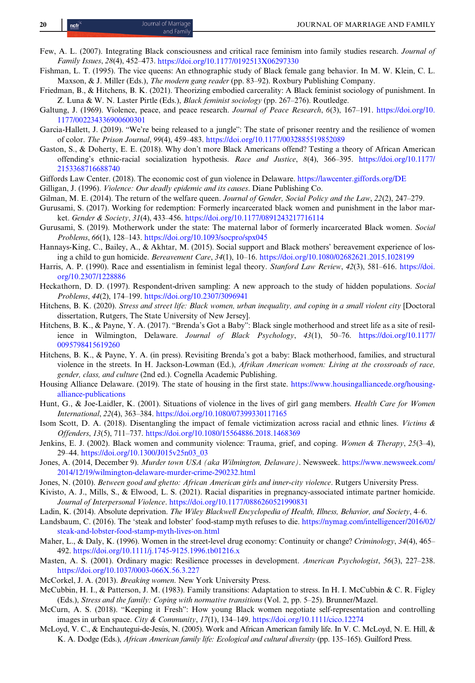- <span id="page-19-0"></span>Few, A. L. (2007). Integrating Black consciousness and critical race feminism into family studies research. Journal of Family Issues, 28(4), 452–473. <https://doi.org/10.1177/0192513X06297330>
- Fishman, L. T. (1995). The vice queens: An ethnographic study of Black female gang behavior. In M. W. Klein, C. L. Maxson, & J. Miller (Eds.), *The modern gang reader* (pp. 83–92). Roxbury Publishing Company.
- Friedman, B., & Hitchens, B. K. (2021). Theorizing embodied carcerality: A Black feminist sociology of punishment. In Z. Luna & W. N. Laster Pirtle (Eds.), *Black feminist sociology* (pp. 267–276). Routledge.
- Galtung, J. (1969). Violence, peace, and peace research. Journal of Peace Research, 6(3), 167-191. [https://doi.org/10.](https://doi.org/10.1177/002234336900600301) [1177/002234336900600301](https://doi.org/10.1177/002234336900600301)
- Garcia-Hallett, J. (2019). "We're being released to a jungle": The state of prisoner reentry and the resilience of women of color. The Prison Journal, 99(4), 459–483. <https://doi.org/10.1177/0032885519852089>
- Gaston, S., & Doherty, E. E. (2018). Why don't more Black Americans offend? Testing a theory of African American offending's ethnic-racial socialization hypothesis. Race and Justice, 8(4), 366–395. [https://doi.org/10.1177/](https://doi.org/10.1177/2153368716688740) [2153368716688740](https://doi.org/10.1177/2153368716688740)
- Giffords Law Center. (2018). The economic cost of gun violence in Delaware. <https://lawcenter.giffords.org/DE>
- Gilligan, J. (1996). Violence: Our deadly epidemic and its causes. Diane Publishing Co.
- Gilman, M. E. (2014). The return of the welfare queen. Journal of Gender, Social Policy and the Law, 22(2), 247–279.
- Gurusami, S. (2017). Working for redemption: Formerly incarcerated black women and punishment in the labor market. Gender & Society, 31(4), 433–456. <https://doi.org/10.1177/0891243217716114>
- Gurusami, S. (2019). Motherwork under the state: The maternal labor of formerly incarcerated Black women. Social Problems, 66(1), 128–143. <https://doi.org/10.1093/socpro/spx045>
- Hannays-King, C., Bailey, A., & Akhtar, M. (2015). Social support and Black mothers' bereavement experience of losing a child to gun homicide. Bereavement Care, 34(1), 10–16. <https://doi.org/10.1080/02682621.2015.1028199>
- Harris, A. P. (1990). Race and essentialism in feminist legal theory. Stanford Law Review, 42(3), 581–616. [https://doi.](https://doi.org/10.2307/1228886) [org/10.2307/1228886](https://doi.org/10.2307/1228886)
- Heckathorn, D. D. (1997). Respondent-driven sampling: A new approach to the study of hidden populations. Social Problems, 44(2), 174–199. <https://doi.org/10.2307/3096941>
- Hitchens, B. K. (2020). Stress and street life: Black women, urban inequality, and coping in a small violent city [Doctoral dissertation, Rutgers, The State University of New Jersey].
- Hitchens, B. K., & Payne, Y. A. (2017). "Brenda's Got a Baby": Black single motherhood and street life as a site of resilience in Wilmington, Delaware. Journal of Black Psychology, 43(1), 50-76. [https://doi.org/10.1177/](https://doi.org/10.1177/0095798415619260) [0095798415619260](https://doi.org/10.1177/0095798415619260)
- Hitchens, B. K., & Payne, Y. A. (in press). Revisiting Brenda's got a baby: Black motherhood, families, and structural violence in the streets. In H. Jackson-Lowman (Ed.), Afrikan American women: Living at the crossroads of race, gender, class, and culture (2nd ed.). Cognella Academic Publishing.
- Housing Alliance Delaware. (2019). The state of housing in the first state. [https://www.housingalliancede.org/housing](https://www.housingalliancede.org/housing-alliance-publications)[alliance-publications](https://www.housingalliancede.org/housing-alliance-publications)
- Hunt, G., & Joe-Laidler, K. (2001). Situations of violence in the lives of girl gang members. Health Care for Women International, 22(4), 363–384. <https://doi.org/10.1080/07399330117165>
- Isom Scott, D. A. (2018). Disentangling the impact of female victimization across racial and ethnic lines. Victims & Offenders, 13(5), 711–737. <https://doi.org/10.1080/15564886.2018.1468369>
- Jenkins, E. J. (2002). Black women and community violence: Trauma, grief, and coping. Women & Therapy, 25(3–4), 29–44. [https://doi.org/10.1300/J015v25n03\\_03](https://doi.org/10.1300/J015v25n03_03)
- Jones, A. (2014, December 9). Murder town USA (aka Wilmington, Delaware). Newsweek. [https://www.newsweek.com/](https://www.newsweek.com/2014/12/19/wilmington-delaware-murder-crime-290232.html) [2014/12/19/wilmington-delaware-murder-crime-290232.html](https://www.newsweek.com/2014/12/19/wilmington-delaware-murder-crime-290232.html)
- Jones, N. (2010). Between good and ghetto: African American girls and inner-city violence. Rutgers University Press.
- Kivisto, A. J., Mills, S., & Elwood, L. S. (2021). Racial disparities in pregnancy-associated intimate partner homicide. Journal of Interpersonal Violence. <https://doi.org/10.1177/0886260521990831>
- Ladin, K. (2014). Absolute deprivation. The Wiley Blackwell Encyclopedia of Health, Illness, Behavior, and Society, 4–6.
- Landsbaum, C. (2016). The 'steak and lobster' food-stamp myth refuses to die. [https://nymag.com/intelligencer/2016/02/](https://nymag.com/intelligencer/2016/02/steak-and-lobster-food-stamp-myth-lives-on.html) [steak-and-lobster-food-stamp-myth-lives-on.html](https://nymag.com/intelligencer/2016/02/steak-and-lobster-food-stamp-myth-lives-on.html)
- Maher, L., & Daly, K. (1996). Women in the street-level drug economy: Continuity or change? Criminology, 34(4), 465– 492. <https://doi.org/10.1111/j.1745-9125.1996.tb01216.x>
- Masten, A. S. (2001). Ordinary magic: Resilience processes in development. American Psychologist, 56(3), 227–238. <https://doi.org/10.1037/0003-066X.56.3.227>
- McCorkel, J. A. (2013). Breaking women. New York University Press.
- McCubbin, H. I., & Patterson, J. M. (1983). Family transitions: Adaptation to stress. In H. I. McCubbin & C. R. Figley (Eds.), Stress and the family: Coping with normative transitions (Vol. 2, pp. 5–25). Brunner/Mazel.
- McCurn, A. S. (2018). "Keeping it Fresh": How young Black women negotiate self-representation and controlling images in urban space. City & Community, 17(1), 134–149. <https://doi.org/10.1111/cico.12274>
- McLoyd, V. C., & Enchautegui-de-Jesús, N. (2005). Work and African American family life. In V. C. McLoyd, N. E. Hill, & K. A. Dodge (Eds.), African American family life: Ecological and cultural diversity (pp. 135–165). Guilford Press.